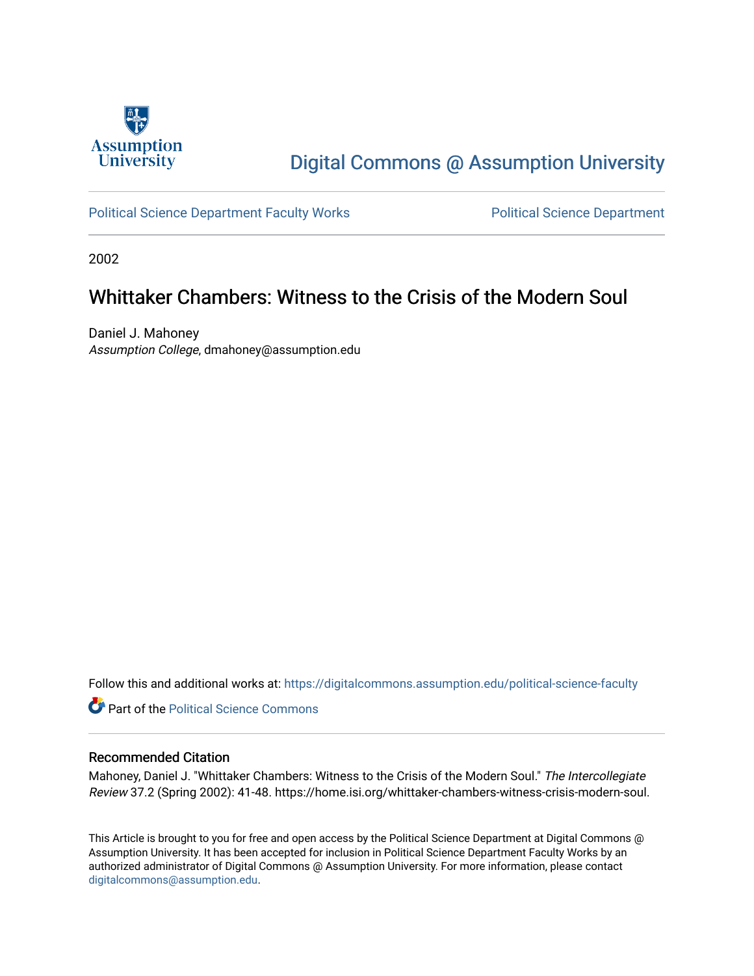

## [Digital Commons @ Assumption University](https://digitalcommons.assumption.edu/)

### [Political Science Department Faculty Works](https://digitalcommons.assumption.edu/political-science-faculty) **Political Science Department**

2002

## Whittaker Chambers: Witness to the Crisis of the Modern Soul

Daniel J. Mahoney Assumption College, dmahoney@assumption.edu

Follow this and additional works at: [https://digitalcommons.assumption.edu/political-science-faculty](https://digitalcommons.assumption.edu/political-science-faculty?utm_source=digitalcommons.assumption.edu%2Fpolitical-science-faculty%2F22&utm_medium=PDF&utm_campaign=PDFCoverPages)

**Part of the Political Science Commons** 

#### Recommended Citation

Mahoney, Daniel J. "Whittaker Chambers: Witness to the Crisis of the Modern Soul." The Intercollegiate Review 37.2 (Spring 2002): 41-48. https://home.isi.org/whittaker-chambers-witness-crisis-modern-soul.

This Article is brought to you for free and open access by the Political Science Department at Digital Commons @ Assumption University. It has been accepted for inclusion in Political Science Department Faculty Works by an authorized administrator of Digital Commons @ Assumption University. For more information, please contact [digitalcommons@assumption.edu](mailto:digitalcommons@assumption.edu).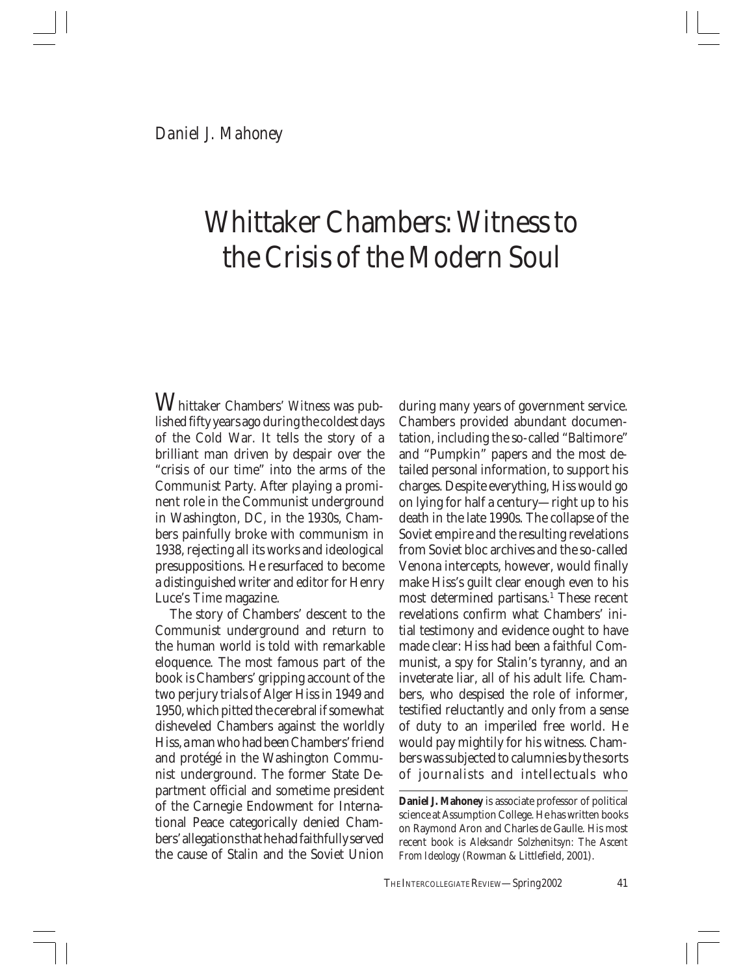# Whittaker Chambers: Witness to the Crisis of the Modern Soul

Whittaker Chambers' *Witness* was published fifty years ago during the coldest days of the Cold War. It tells the story of a brilliant man driven by despair over the "crisis of our time" into the arms of the Communist Party. After playing a prominent role in the Communist underground in Washington, DC, in the 1930s, Chambers painfully broke with communism in 1938, rejecting all its works and ideological presuppositions. He resurfaced to become a distinguished writer and editor for Henry Luce's *Time* magazine.

The story of Chambers' descent to the Communist underground and return to the human world is told with remarkable eloquence. The most famous part of the book is Chambers' gripping account of the two perjury trials of Alger Hiss in 1949 and 1950, which pitted the cerebral if somewhat disheveled Chambers against the worldly Hiss, a man who had been Chambers' friend and protégé in the Washington Communist underground. The former State Department official and sometime president of the Carnegie Endowment for International Peace categorically denied Chambers' allegations that he had faithfully served the cause of Stalin and the Soviet Union

during many years of government service. Chambers provided abundant documentation, including the so-called "Baltimore" and "Pumpkin" papers and the most detailed personal information, to support his charges. Despite everything, Hiss would go on lying for half a century—right up to his death in the late 1990s. The collapse of the Soviet empire and the resulting revelations from Soviet bloc archives and the so-called Venona intercepts, however, would finally make Hiss's guilt clear enough even to his most determined partisans.<sup>1</sup> These recent revelations confirm what Chambers' initial testimony and evidence ought to have made clear: Hiss had been a faithful Communist, a spy for Stalin's tyranny, and an inveterate liar, all of his adult life. Chambers, who despised the role of informer, testified reluctantly and only from a sense of duty to an imperiled free world. He would pay mightily for his witness. Chambers was subjected to calumnies by the sorts of journalists and intellectuals who

THE INTERCOLLEGIATE REVIEW—*Spring 2002* 41

**Daniel J. Mahoney** is associate professor of political science at Assumption College. He has written books on Raymond Aron and Charles de Gaulle. His most recent book is *Aleksandr Solzhenitsyn: The Ascent From Ideology* (Rowman & Littlefield, 2001).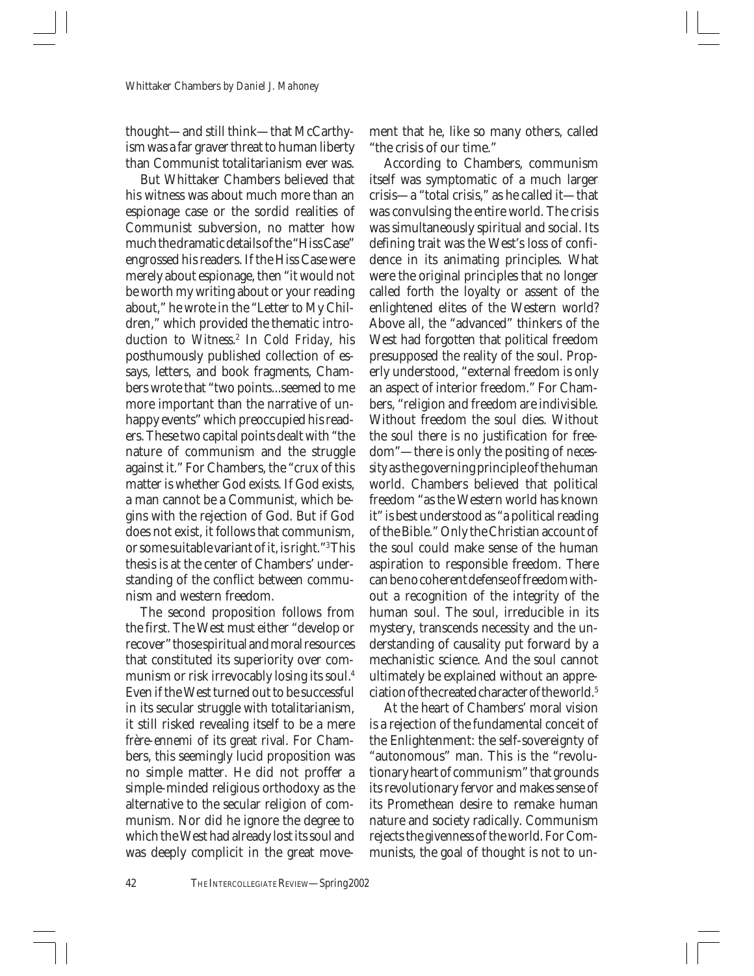thought—and still think—that McCarthyism was a far graver threat to human liberty than Communist totalitarianism ever was.

But Whittaker Chambers believed that his witness was about much more than an espionage case or the sordid realities of Communist subversion, no matter how much the dramatic details of the "Hiss Case" engrossed his readers. If the Hiss Case were merely about espionage, then "it would not be worth my writing about or your reading about," he wrote in the "Letter to My Children," which provided the thematic introduction to *Witness*. 2 In *Cold Friday*, his posthumously published collection of essays, letters, and book fragments, Chambers wrote that "two points...seemed to me more important than the narrative of unhappy events" which preoccupied his readers. These two capital points dealt with "the nature of communism and the struggle against it." For Chambers, the "crux of this matter is whether God exists. If God exists, a man cannot be a Communist, which begins with the rejection of God. But if God does not exist, it follows that communism, or some suitable variant of it, is right."3 This thesis is at the center of Chambers' understanding of the conflict between communism and western freedom.

The second proposition follows from the first. The West must either "develop or recover" those spiritual and moral resources that constituted its superiority over communism or risk irrevocably losing its soul.<sup>4</sup> Even if the West turned out to be successful in its secular struggle with totalitarianism, it still risked revealing itself to be a mere *frère-ennemi* of its great rival. For Chambers, this seemingly lucid proposition was no simple matter. He did not proffer a simple-minded religious orthodoxy as the alternative to the secular religion of communism. Nor did he ignore the degree to which the West had already lost its soul and was deeply complicit in the great movement that he, like so many others, called "the crisis of our time."

According to Chambers, communism itself was symptomatic of a much larger crisis—a "total crisis," as he called it—that was convulsing the entire world. The crisis was simultaneously spiritual and social. Its defining trait was the West's loss of confidence in its animating principles. What were the original principles that no longer called forth the loyalty or assent of the enlightened elites of the Western world? Above all, the "advanced" thinkers of the West had forgotten that political freedom presupposed the reality of the soul. Properly understood, "external freedom is only an aspect of interior freedom." For Chambers, "religion and freedom are indivisible. Without freedom the soul dies. Without the soul there is no justification for freedom"—there is only the positing of *necessity* as the governing principle of the human world. Chambers believed that political freedom "as the Western world has known it" is best understood as "a political reading of the Bible." Only the Christian account of the soul could make sense of the human aspiration to responsible freedom. There can be no coherent defense of freedom without a recognition of the integrity of the human soul. The soul, irreducible in its mystery, transcends necessity and the understanding of causality put forward by a mechanistic science. And the soul cannot ultimately be explained without an appreciation of the created character of the world.<sup>5</sup>

At the heart of Chambers' moral vision is a rejection of the fundamental conceit of the Enlightenment: the self-sovereignty of "autonomous" man. This is the "revolutionary heart of communism" that grounds its revolutionary fervor and makes sense of its Promethean desire to remake human nature and society radically. Communism rejects the *givenness* of the world. For Communists, the goal of thought is not to un-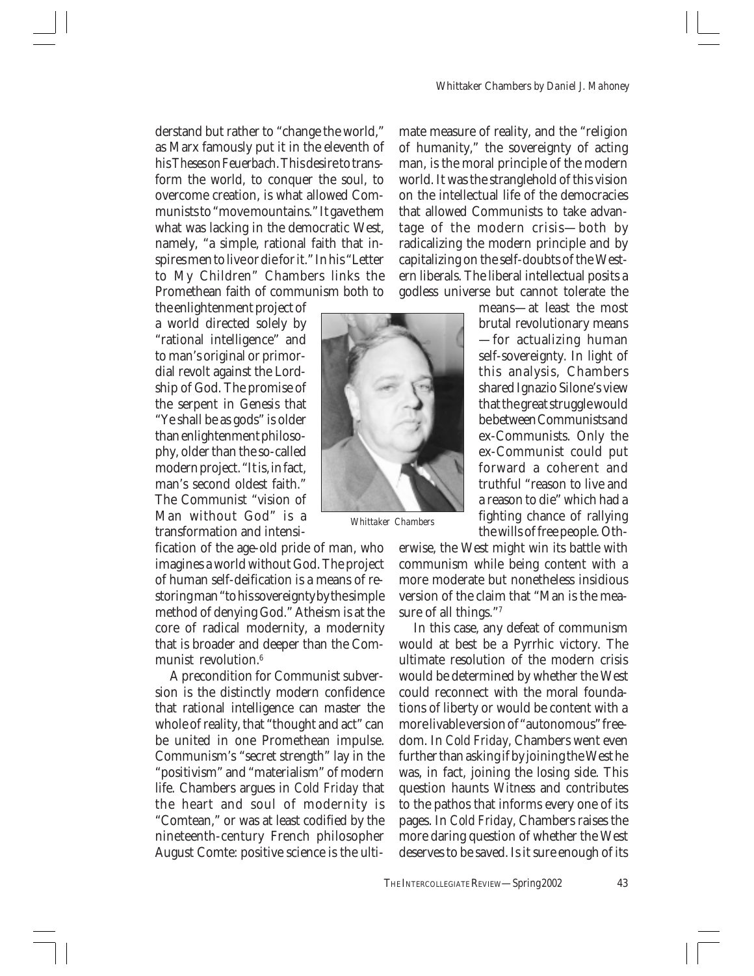derstand but rather to "change the world," as Marx famously put it in the eleventh of his *Theses on Feuerbach*. This desire to transform the world, to conquer the soul, to overcome creation, is what allowed Communists to "move mountains." It gave them what was lacking in the democratic West, namely, "a simple, rational faith that inspires men to live or die for it." In his "Letter to My Children" Chambers links the Promethean faith of communism both to

the enlightenment project of a world directed solely by "rational intelligence" and to man's original or primordial revolt against the Lordship of God. The promise of the serpent in *Genesis* that "Ye shall be as gods" is older than enlightenment philosophy, older than the so-called modern project. "It is, in fact, man's second oldest faith." The Communist "vision of Man without God" is a transformation and intensi-

fication of the age-old pride of man, who imagines a world without God. The project of human self-deification is a means of restoring man "to his sovereignty by the simple method of denying God." Atheism is at the core of radical modernity, a modernity that is broader and deeper than the Communist revolution.<sup>6</sup>

A precondition for Communist subversion is the distinctly modern confidence that rational intelligence can master the whole of reality, that "thought and act" can be united in one Promethean impulse. Communism's "secret strength" lay in the "positivism" and "materialism" of modern life. Chambers argues in *Cold Friday* that the heart and soul of modernity is "Comtean," or was at least codified by the nineteenth-century French philosopher August Comte: positive science is the ulti-

mate measure of reality, and the "religion of humanity," the sovereignty of acting man, is the moral principle of the modern world. It was the stranglehold of this vision on the intellectual life of the democracies that allowed Communists to take advantage of the modern crisis—both by radicalizing the modern principle and by capitalizing on the self-doubts of the Western liberals. The liberal intellectual posits a godless universe but cannot tolerate the

> means—at least the most brutal revolutionary means —for actualizing human self-sovereignty. In light of this analysis, Chambers shared Ignazio Silone's view that the great struggle would be between Communists and ex-Communists. Only the ex-Communist could put forward a coherent and truthful "reason to live and a reason to die" which had a fighting chance of rallying the wills of free people. Oth-

erwise, the West might win its battle with communism while being content with a more moderate but nonetheless insidious version of the claim that "Man is the measure of all things."7

In this case, any defeat of communism would at best be a Pyrrhic victory. The ultimate resolution of the modern crisis would be determined by whether the West could reconnect with the moral foundations of liberty or would be content with a more livable version of "autonomous" freedom. In *Cold Friday*, Chambers went even further than asking if by joining the West he was, in fact, joining the losing side. This question haunts *Witness* and contributes to the pathos that informs every one of its pages. In *Cold Friday*, Chambers raises the more daring question of whether the West deserves to be saved. Is it sure enough of its



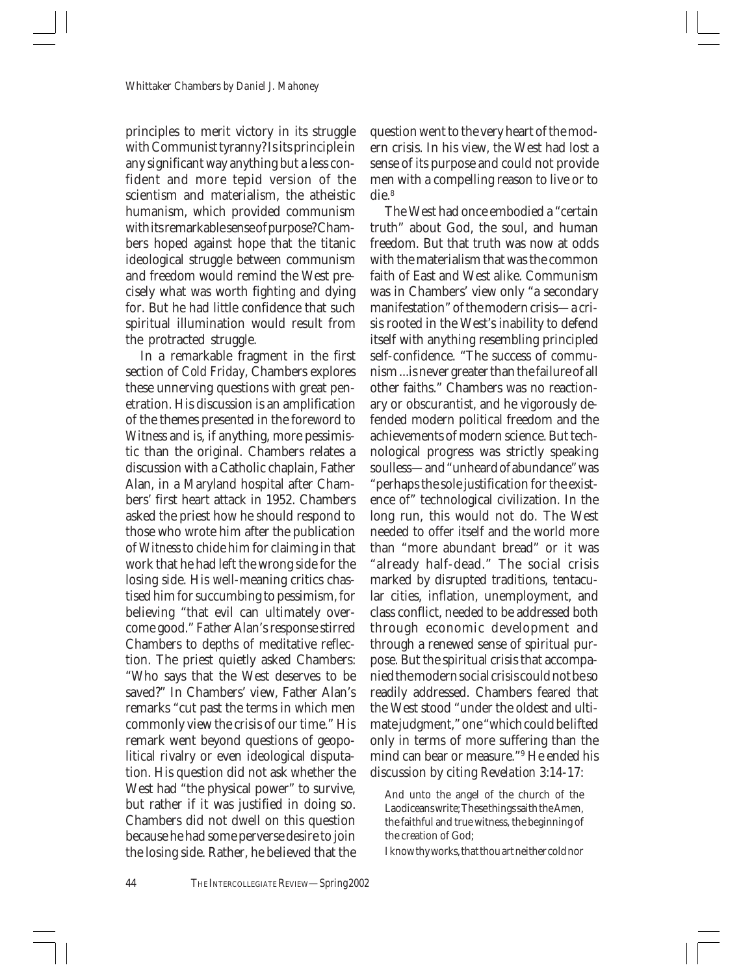principles to merit victory in its struggle with Communist tyranny? Is its principle in any significant way anything but a less confident and more tepid version of the scientism and materialism, the atheistic humanism, which provided communism with its remarkable sense of purpose? Chambers hoped against hope that the titanic ideological struggle between communism and freedom would remind the West precisely what was worth fighting and dying for. But he had little confidence that such spiritual illumination would result from the protracted struggle.

In a remarkable fragment in the first section of *Cold Friday*, Chambers explores these unnerving questions with great penetration. His discussion is an amplification of the themes presented in the foreword to *Witness* and is, if anything, more pessimistic than the original. Chambers relates a discussion with a Catholic chaplain, Father Alan, in a Maryland hospital after Chambers' first heart attack in 1952. Chambers asked the priest how he should respond to those who wrote him after the publication of *Witness* to chide him for claiming in that work that he had left the wrong side for the losing side. His well-meaning critics chastised him for succumbing to pessimism, for believing "that evil can ultimately overcome good." Father Alan's response stirred Chambers to depths of meditative reflection. The priest quietly asked Chambers: "Who says that the West deserves to be saved?" In Chambers' view, Father Alan's remarks "cut past the terms in which men commonly view the crisis of our time." His remark went beyond questions of geopolitical rivalry or even ideological disputation. His question did not ask whether the West had "the physical power" to survive, but rather if it was justified in doing so. Chambers did not dwell on this question because he had some perverse desire to join the losing side. Rather, he believed that the question went to the very heart of the modern crisis. In his view, the West had lost a sense of its purpose and could not provide men with a compelling reason to live or to die.8

The West had once embodied a "certain truth" about God, the soul, and human freedom. But that truth was now at odds with the materialism that was the common faith of East and West alike. Communism was in Chambers' view only "a secondary manifestation" of the modern crisis—a crisis rooted in the West's inability to defend itself with anything resembling principled self-confidence. "The success of communism ...is never greater than the failure of all other faiths." Chambers was no reactionary or obscurantist, and he vigorously defended modern political freedom and the achievements of modern science. But technological progress was strictly speaking soulless—and "unheard of abundance" was "perhaps the sole justification for the existence of" technological civilization. In the long run, this would not do. The West needed to offer itself and the world more than "more abundant bread" or it was "already half-dead." The social crisis marked by disrupted traditions, tentacular cities, inflation, unemployment, and class conflict, needed to be addressed both through economic development and through a renewed sense of spiritual purpose. But the spiritual crisis that accompanied the modern social crisis could not be so readily addressed. Chambers feared that the West stood "under the oldest and ultimate judgment," one "which could be lifted only in terms of more suffering than the mind can bear or measure."9 He ended his discussion by citing *Revelation* 3:14-17:

And unto the angel of the church of the Laodiceans write; These things saith the Amen, the faithful and true witness, the beginning of the creation of God;

I know thy works, that thou art neither cold nor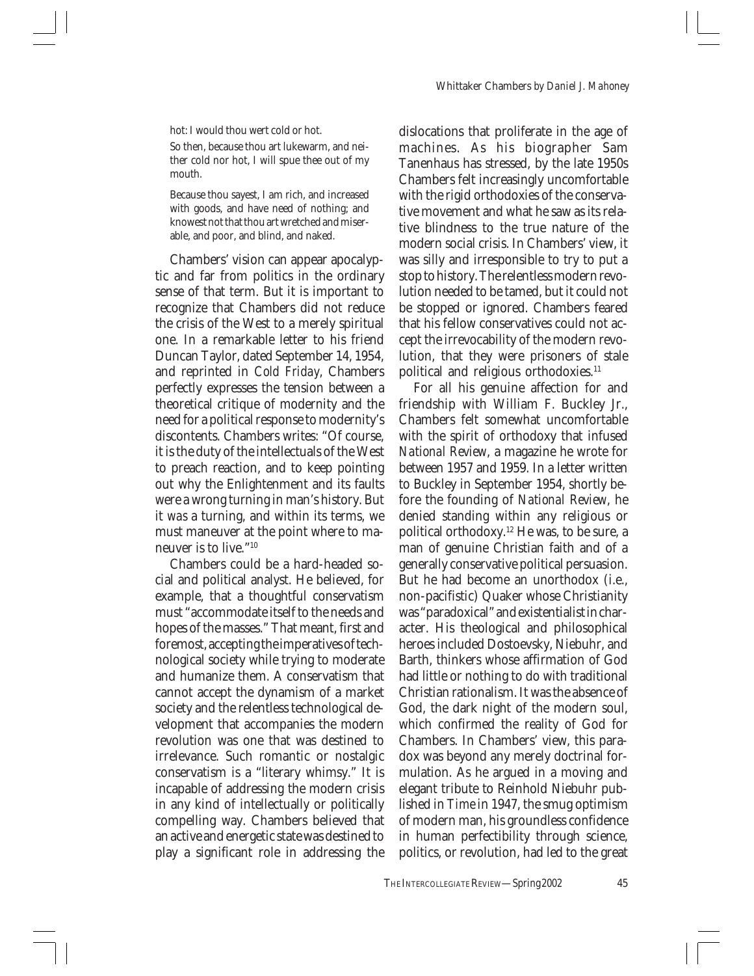hot: I would thou wert cold or hot.

So then, because thou art lukewarm, and neither cold nor hot, I will spue thee out of my mouth.

Because thou sayest, I am rich, and increased with goods, and have need of nothing; and knowest not that thou art wretched and miserable, and poor, and blind, and naked.

Chambers' vision can appear apocalyptic and far from politics in the ordinary sense of that term. But it is important to recognize that Chambers did not reduce the crisis of the West to a merely spiritual one. In a remarkable letter to his friend Duncan Taylor, dated September 14, 1954, and reprinted in *Cold Friday*, Chambers perfectly expresses the tension between a theoretical critique of modernity and the need for a political response to modernity's discontents. Chambers writes: "Of course, it is the duty of the intellectuals of the West to preach reaction, and to keep pointing out why the Enlightenment and its faults were a wrong turning in man's history. But it *was* a turning, and within its terms, we must maneuver at the point where to maneuver is to live."10

Chambers could be a hard-headed social and political analyst. He believed, for example, that a thoughtful conservatism must "accommodate itself to the needs and hopes of the masses." That meant, first and foremost, accepting the imperatives of technological society while trying to moderate and humanize them. A conservatism that cannot accept the dynamism of a market society and the relentless technological development that accompanies the modern revolution was one that was destined to irrelevance. Such romantic or nostalgic conservatism is a "literary whimsy." It is incapable of addressing the modern crisis in any kind of intellectually or politically compelling way. Chambers believed that an active and energetic state was destined to play a significant role in addressing the

dislocations that proliferate in the age of machines. As his biographer Sam Tanenhaus has stressed, by the late 1950s Chambers felt increasingly uncomfortable with the rigid orthodoxies of the conservative movement and what he saw as its relative blindness to the true nature of the modern social crisis. In Chambers' view, it was silly and irresponsible to try to put a stop to history. The relentless modern revolution needed to be tamed, but it could not be stopped or ignored. Chambers feared that his fellow conservatives could not accept the irrevocability of the modern revolution, that they were prisoners of stale political and religious orthodoxies.<sup>11</sup>

For all his genuine affection for and friendship with William F. Buckley Jr., Chambers felt somewhat uncomfortable with the spirit of orthodoxy that infused *National Review*, a magazine he wrote for between 1957 and 1959. In a letter written to Buckley in September 1954, shortly before the founding of *National Review*, he denied standing within any religious or political orthodoxy.12 He was, to be sure, a man of genuine Christian faith and of a generally conservative political persuasion. But he had become an unorthodox (i.e., non-pacifistic) Quaker whose Christianity was "paradoxical" and existentialist in character. His theological and philosophical heroes included Dostoevsky, Niebuhr, and Barth, thinkers whose affirmation of God had little or nothing to do with traditional Christian rationalism. It was the absence of God, the dark night of the modern soul, which confirmed the reality of God for Chambers. In Chambers' view, this paradox was beyond any merely doctrinal formulation. As he argued in a moving and elegant tribute to Reinhold Niebuhr published in *Time* in 1947, the smug optimism of modern man, his groundless confidence in human perfectibility through science, politics, or revolution, had led to the great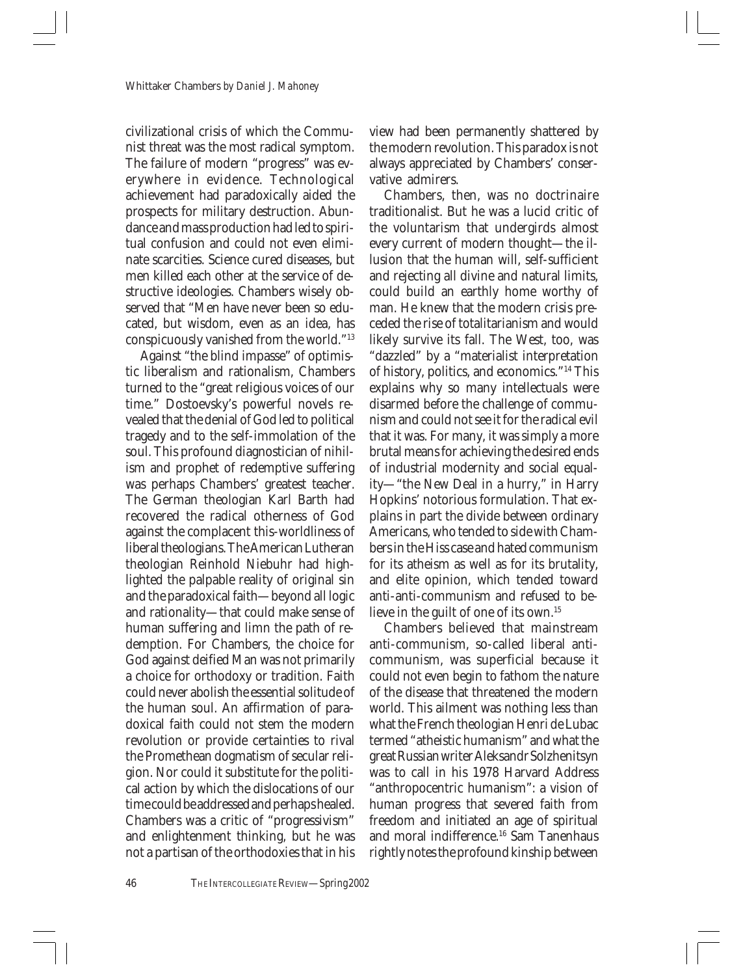civilizational crisis of which the Communist threat was the most radical symptom. The failure of modern "progress" was everywhere in evidence. Technological achievement had paradoxically aided the prospects for military destruction. Abundance and mass production had led to spiritual confusion and could not even eliminate scarcities. Science cured diseases, but men killed each other at the service of destructive ideologies. Chambers wisely observed that "Men have never been so educated, but wisdom, even as an idea, has conspicuously vanished from the world."13

Against "the blind impasse" of optimistic liberalism and rationalism, Chambers turned to the "great religious voices of our time." Dostoevsky's powerful novels revealed that the denial of God led to political tragedy and to the self-immolation of the soul. This profound diagnostician of nihilism and prophet of redemptive suffering was perhaps Chambers' greatest teacher. The German theologian Karl Barth had recovered the radical otherness of God against the complacent this-worldliness of liberal theologians. The American Lutheran theologian Reinhold Niebuhr had highlighted the palpable reality of original sin and the paradoxical faith—beyond all logic and rationality—that could make sense of human suffering and limn the path of redemption. For Chambers, the choice for God against deified Man was not primarily a choice for orthodoxy or tradition. Faith could never abolish the essential solitude of the human soul. An affirmation of paradoxical faith could not stem the modern revolution or provide certainties to rival the Promethean dogmatism of secular religion. Nor could it substitute for the political action by which the dislocations of our time could be addressed and perhaps healed. Chambers was a critic of "progressivism" and enlightenment thinking, but he was not a partisan of the orthodoxies that in his

view had been permanently shattered by the modern revolution. This paradox is not always appreciated by Chambers' conservative admirers.

Chambers, then, was no doctrinaire traditionalist. But he was a lucid critic of the voluntarism that undergirds almost every current of modern thought—the illusion that the human will, self-sufficient and rejecting all divine and natural limits, could build an earthly home worthy of man. He knew that the modern crisis preceded the rise of totalitarianism and would likely survive its fall. The West, too, was "dazzled" by a "materialist interpretation of history, politics, and economics."14 This explains why so many intellectuals were disarmed before the challenge of communism and could not see it for the radical evil that it was. For many, it was simply a more brutal means for achieving the desired ends of industrial modernity and social equality—"the New Deal in a hurry," in Harry Hopkins' notorious formulation. That explains in part the divide between ordinary Americans, who tended to side with Chambers in the Hiss case and hated communism for its atheism as well as for its brutality, and elite opinion, which tended toward anti-anti-communism and refused to believe in the guilt of one of its own.<sup>15</sup>

Chambers believed that mainstream anti-communism, so-called liberal anticommunism, was superficial because it could not even begin to fathom the nature of the disease that threatened the modern world. This ailment was nothing less than what the French theologian Henri de Lubac termed "atheistic humanism" and what the great Russian writer Aleksandr Solzhenitsyn was to call in his 1978 Harvard Address "anthropocentric humanism": a vision of human progress that severed faith from freedom and initiated an age of spiritual and moral indifference.<sup>16</sup> Sam Tanenhaus rightly notes the profound kinship between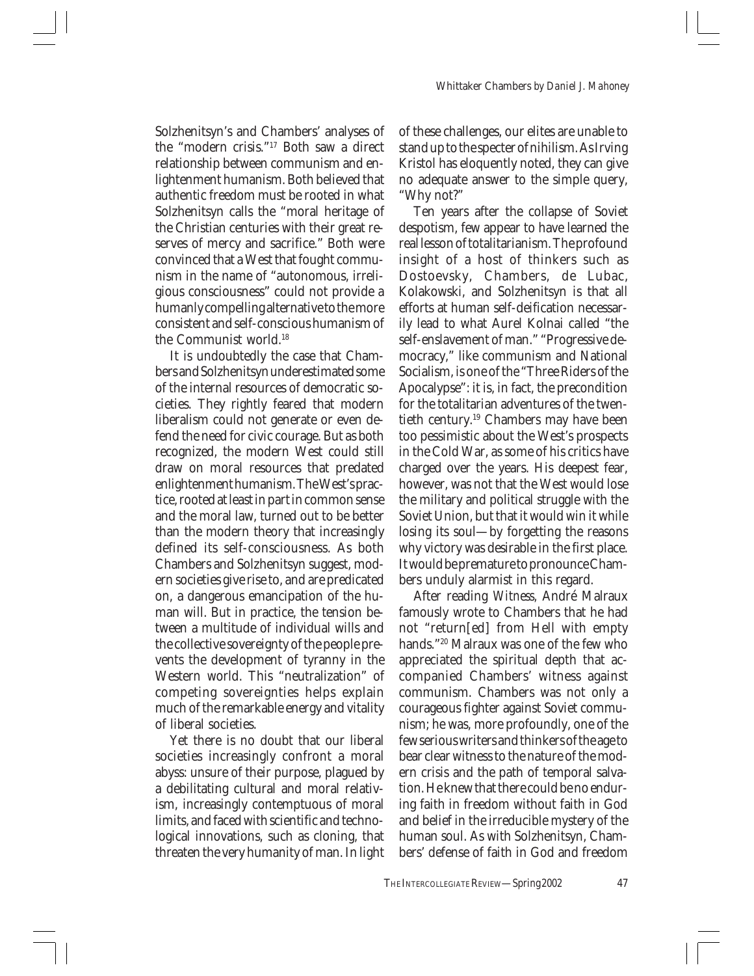Solzhenitsyn's and Chambers' analyses of the "modern crisis."17 Both saw a direct relationship between communism and enlightenment humanism. Both believed that authentic freedom must be rooted in what Solzhenitsyn calls the "moral heritage of the Christian centuries with their great reserves of mercy and sacrifice." Both were convinced that a West that fought communism in the name of "autonomous, irreligious consciousness" could not provide a humanly compelling alternative to the more consistent and self-conscious humanism of the Communist world.18

It is undoubtedly the case that Chambers and Solzhenitsyn underestimated some of the internal resources of democratic societies. They rightly feared that modern liberalism could not generate or even defend the need for civic courage. But as both recognized, the modern West could still draw on moral resources that predated enlightenment humanism. The West's practice, rooted at least in part in common sense and the moral law, turned out to be better than the modern theory that increasingly defined its self-consciousness. As both Chambers and Solzhenitsyn suggest, modern societies give rise to, and are predicated on, a dangerous emancipation of the human will. But in practice, the tension between a multitude of individual wills and the collective sovereignty of the people prevents the development of tyranny in the Western world. This "neutralization" of competing sovereignties helps explain much of the remarkable energy and vitality of liberal societies.

Yet there is no doubt that our liberal societies increasingly confront a moral abyss: unsure of their purpose, plagued by a debilitating cultural and moral relativism, increasingly contemptuous of moral limits, and faced with scientific and technological innovations, such as cloning, that threaten the very humanity of man. In light

of these challenges, our elites are unable to stand up to the specter of nihilism. As Irving Kristol has eloquently noted, they can give no adequate answer to the simple query, "Why not?"

Ten years after the collapse of Soviet despotism, few appear to have learned the real lesson of totalitarianism. The profound insight of a host of thinkers such as Dostoevsky, Chambers, de Lubac, Kolakowski, and Solzhenitsyn is that all efforts at human self-deification necessarily lead to what Aurel Kolnai called "the self-enslavement of man." "Progressive democracy," like communism and National Socialism, is one of the "Three Riders of the Apocalypse": it is, in fact, the precondition for the totalitarian adventures of the twentieth century.19 Chambers may have been too pessimistic about the West's prospects in the Cold War, as some of his critics have charged over the years. His deepest fear, however, was not that the West would lose the military and political struggle with the Soviet Union, but that it would win it while losing its soul—by forgetting the reasons why victory was desirable in the first place. It would be premature to pronounce Chambers unduly alarmist in this regard.

After reading *Witness,* André Malraux famously wrote to Chambers that he had not "return[ed] from Hell with empty hands."20 Malraux was one of the few who appreciated the spiritual depth that accompanied Chambers' witness against communism. Chambers was not only a courageous fighter against Soviet communism; he was, more profoundly, one of the few serious writers and thinkers of the age to bear clear witness to the nature of the modern crisis and the path of temporal salvation. He knew that there could be no enduring faith in freedom without faith in God and belief in the irreducible mystery of the human soul. As with Solzhenitsyn, Chambers' defense of faith in God and freedom